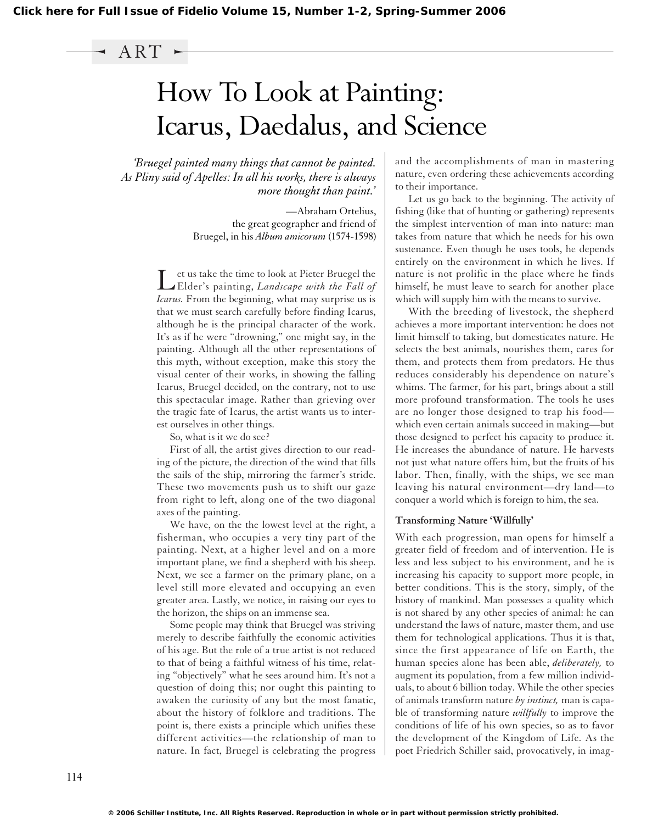### ART

# How To Look at Painting: Icarus, Daedalus, and Science

*'Bruegel painted many things that cannot be painted. As Pliny said of Apelles: In all his works, there is always more thought than paint.'*

> —Abraham Ortelius, the great geographer and friend of Bruegel, in his *Album amicorum* (1574-1598)

Let us take the time to look at Pieter Bruegel the Elder's painting, *Landscape with the Fall of Icarus.* From the beginning, what may surprise us is that we must search carefully before finding Icarus, although he is the principal character of the work. It's as if he were "drowning," one might say, in the painting. Although all the other representations of this myth, without exception, make this story the visual center of their works, in showing the falling Icarus, Bruegel decided, on the contrary, not to use this spectacular image. Rather than grieving over the tragic fate of Icarus, the artist wants us to interest ourselves in other things.

So, what is it we do see?

First of all, the artist gives direction to our reading of the picture, the direction of the wind that fills the sails of the ship, mirroring the farmer's stride. These two movements push us to shift our gaze from right to left, along one of the two diagonal axes of the painting.

We have, on the the lowest level at the right, a fisherman, who occupies a very tiny part of the painting. Next, at a higher level and on a more important plane, we find a shepherd with his sheep. Next, we see a farmer on the primary plane, on a level still more elevated and occupying an even greater area. Lastly, we notice, in raising our eyes to the horizon, the ships on an immense sea.

Some people may think that Bruegel was striving merely to describe faithfully the economic activities of his age. But the role of a true artist is not reduced to that of being a faithful witness of his time, relating "objectively" what he sees around him. It's not a question of doing this; nor ought this painting to awaken the curiosity of any but the most fanatic, about the history of folklore and traditions. The point is, there exists a principle which unifies these different activities—the relationship of man to nature. In fact, Bruegel is celebrating the progress

and the accomplishments of man in mastering nature, even ordering these achievements according to their importance.

Let us go back to the beginning. The activity of fishing (like that of hunting or gathering) represents the simplest intervention of man into nature: man takes from nature that which he needs for his own sustenance. Even though he uses tools, he depends entirely on the environment in which he lives. If nature is not prolific in the place where he finds himself, he must leave to search for another place which will supply him with the means to survive.

With the breeding of livestock, the shepherd achieves a more important intervention: he does not limit himself to taking, but domesticates nature. He selects the best animals, nourishes them, cares for them, and protects them from predators. He thus reduces considerably his dependence on nature's whims. The farmer, for his part, brings about a still more profound transformation. The tools he uses are no longer those designed to trap his food which even certain animals succeed in making—but those designed to perfect his capacity to produce it. He increases the abundance of nature. He harvests not just what nature offers him, but the fruits of his labor. Then, finally, with the ships, we see man leaving his natural environment—dry land—to conquer a world which is foreign to him, the sea.

#### **Transforming Nature 'Willfully'**

With each progression, man opens for himself a greater field of freedom and of intervention. He is less and less subject to his environment, and he is increasing his capacity to support more people, in better conditions. This is the story, simply, of the history of mankind. Man possesses a quality which is not shared by any other species of animal: he can understand the laws of nature, master them, and use them for technological applications. Thus it is that, since the first appearance of life on Earth, the human species alone has been able, *deliberately,* to augment its population, from a few million individuals, to about 6 billion today. While the other species of animals transform nature *by instinct,* man is capable of transforming nature *willfully* to improve the conditions of life of his own species, so as to favor the development of the Kingdom of Life. As the poet Friedrich Schiller said, provocatively, in imag-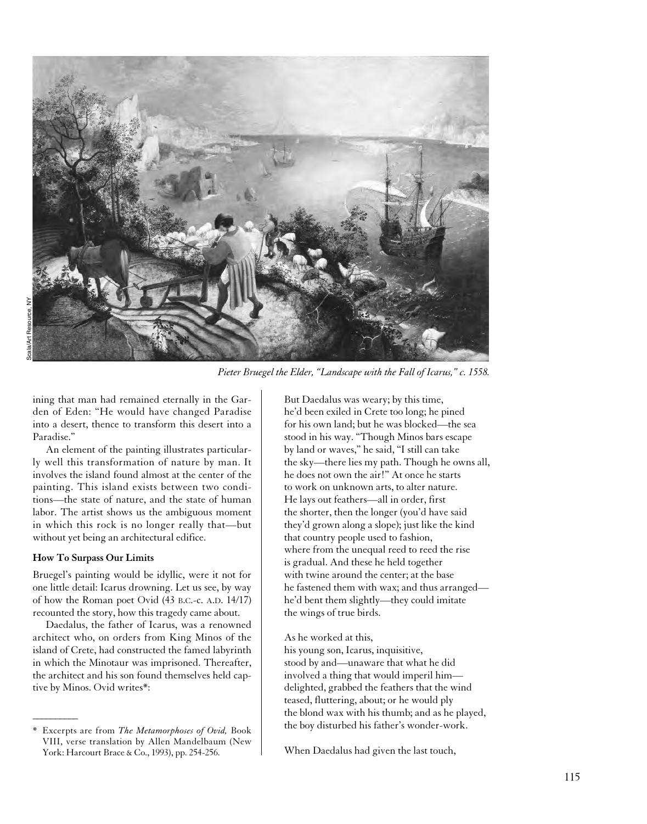

*Pieter Bruegel the Elder, "Landscape with the Fall of Icarus," c. 1558.*

ining that man had remained eternally in the Garden of Eden: "He would have changed Paradise into a desert, thence to transform this desert into a Paradise."

An element of the painting illustrates particularly well this transformation of nature by man. It involves the island found almost at the center of the painting. This island exists between two conditions—the state of nature, and the state of human labor. The artist shows us the ambiguous moment in which this rock is no longer really that—but without yet being an architectural edifice.

#### **How To Surpass Our Limits**

 $\overline{\phantom{a}}$ 

Bruegel's painting would be idyllic, were it not for one little detail: Icarus drowning. Let us see, by way of how the Roman poet Ovid (43 B.C.-c. A.D. 14/17) recounted the story, how this tragedy came about.

Daedalus, the father of Icarus, was a renowned architect who, on orders from King Minos of the island of Crete, had constructed the famed labyrinth in which the Minotaur was imprisoned. Thereafter, the architect and his son found themselves held captive by Minos. Ovid writes\*:

But Daedalus was weary; by this time, he'd been exiled in Crete too long; he pined for his own land; but he was blocked—the sea stood in his way. "Though Minos bars escape by land or waves," he said, "I still can take the sky—there lies my path. Though he owns all, he does not own the air!" At once he starts to work on unknown arts, to alter nature. He lays out feathers—all in order, first the shorter, then the longer (you'd have said they'd grown along a slope); just like the kind that country people used to fashion, where from the unequal reed to reed the rise is gradual. And these he held together with twine around the center; at the base he fastened them with wax; and thus arranged he'd bent them slightly—they could imitate the wings of true birds.

#### As he worked at this,

his young son, Icarus, inquisitive, stood by and—unaware that what he did involved a thing that would imperil him delighted, grabbed the feathers that the wind teased, fluttering, about; or he would ply the blond wax with his thumb; and as he played, the boy disturbed his father's wonder-work.

When Daedalus had given the last touch,

<sup>\*</sup> Excerpts are from *The Metamorphoses of Ovid,* Book VIII, verse translation by Allen Mandelbaum (New York: Harcourt Brace & Co., 1993), pp. 254-256.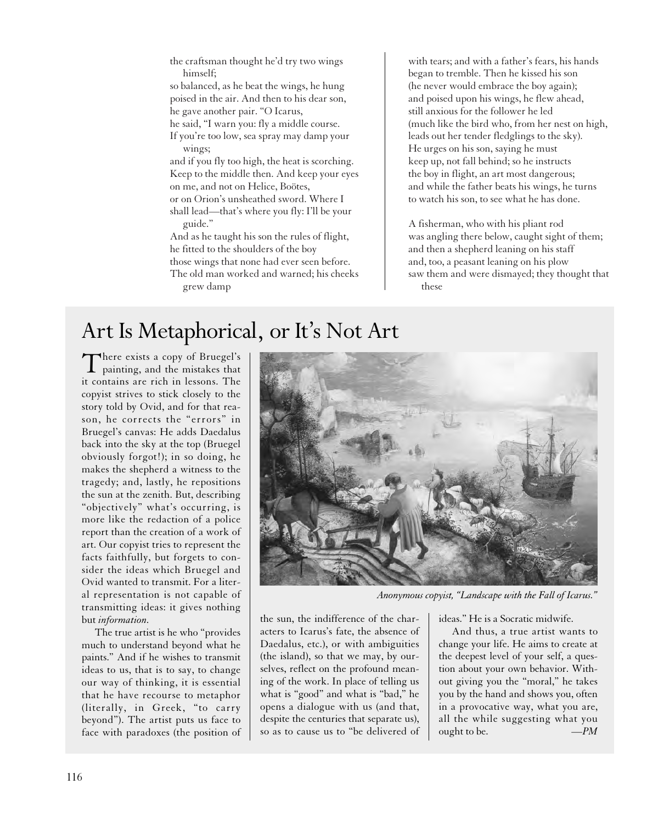the craftsman thought he'd try two wings himself;

so balanced, as he beat the wings, he hung poised in the air. And then to his dear son, he gave another pair. "O Icarus,

he said, "I warn you: fly a middle course.

If you're too low, sea spray may damp your wings;

and if you fly too high, the heat is scorching. Keep to the middle then. And keep your eyes on me, and not on Helice, Boötes, or on Orion's unsheathed sword. Where I shall lead—that's where you fly: I'll be your guide."

And as he taught his son the rules of flight, he fitted to the shoulders of the boy those wings that none had ever seen before. The old man worked and warned; his cheeks grew damp

with tears; and with a father's fears, his hands began to tremble. Then he kissed his son (he never would embrace the boy again); and poised upon his wings, he flew ahead, still anxious for the follower he led (much like the bird who, from her nest on high, leads out her tender fledglings to the sky). He urges on his son, saying he must keep up, not fall behind; so he instructs the boy in flight, an art most dangerous; and while the father beats his wings, he turns to watch his son, to see what he has done.

A fisherman, who with his pliant rod was angling there below, caught sight of them; and then a shepherd leaning on his staff and, too, a peasant leaning on his plow saw them and were dismayed; they thought that these

# Art Is Metaphorical, or It's Not Art

There exists a copy of Bruegel's painting, and the mistakes that it contains are rich in lessons. The copyist strives to stick closely to the story told by Ovid, and for that reason, he corrects the "errors" in Bruegel's canvas: He adds Daedalus back into the sky at the top (Bruegel obviously forgot!); in so doing, he makes the shepherd a witness to the tragedy; and, lastly, he repositions the sun at the zenith. But, describing "objectively" what's occurring, is more like the redaction of a police report than the creation of a work of art. Our copyist tries to represent the facts faithfully, but forgets to consider the ideas which Bruegel and Ovid wanted to transmit. For a literal representation is not capable of transmitting ideas: it gives nothing but *information.*

The true artist is he who "provides much to understand beyond what he paints." And if he wishes to transmit ideas to us, that is to say, to change our way of thinking, it is essential that he have recourse to metaphor (literally, in Greek, "to carry beyond"). The artist puts us face to face with paradoxes (the position of



*Anonymous copyist, "Landscape with the Fall of Icarus."*

the sun, the indifference of the characters to Icarus's fate, the absence of Daedalus, etc.), or with ambiguities (the island), so that we may, by ourselves, reflect on the profound meaning of the work. In place of telling us what is "good" and what is "bad," he opens a dialogue with us (and that, despite the centuries that separate us), so as to cause us to "be delivered of ideas." He is a Socratic midwife.

And thus, a true artist wants to change your life. He aims to create at the deepest level of your self, a question about your own behavior. Without giving you the "moral," he takes you by the hand and shows you, often in a provocative way, what you are, all the while suggesting what you ought to be. *—PM*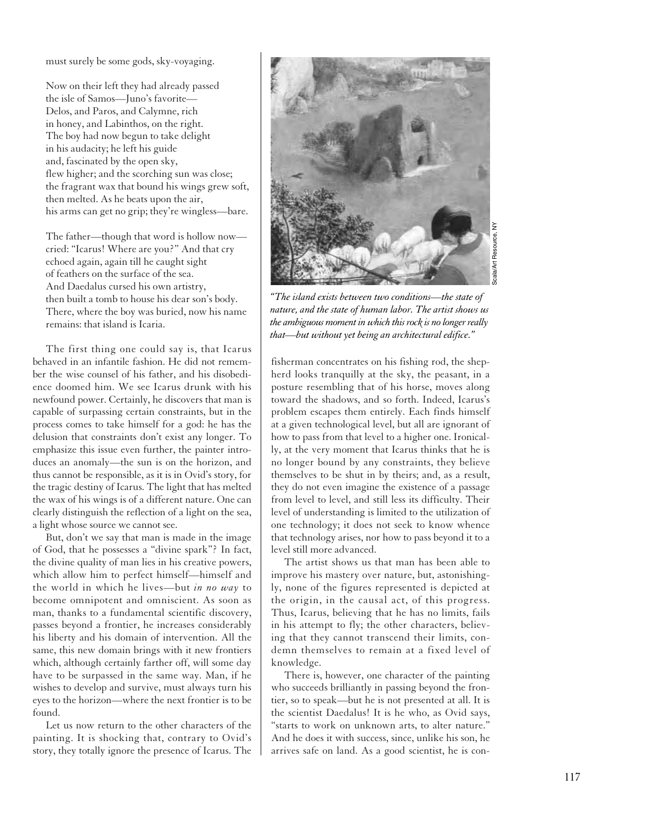must surely be some gods, sky-voyaging.

Now on their left they had already passed the isle of Samos—Juno's favorite— Delos, and Paros, and Calymne, rich in honey, and Labinthos, on the right. The boy had now begun to take delight in his audacity; he left his guide and, fascinated by the open sky, flew higher; and the scorching sun was close; the fragrant wax that bound his wings grew soft, then melted. As he beats upon the air, his arms can get no grip; they're wingless—bare.

The father—though that word is hollow now cried: "Icarus! Where are you?" And that cry echoed again, again till he caught sight of feathers on the surface of the sea. And Daedalus cursed his own artistry, then built a tomb to house his dear son's body. There, where the boy was buried, now his name remains: that island is Icaria.

The first thing one could say is, that Icarus behaved in an infantile fashion. He did not remember the wise counsel of his father, and his disobedience doomed him. We see Icarus drunk with his newfound power. Certainly, he discovers that man is capable of surpassing certain constraints, but in the process comes to take himself for a god: he has the delusion that constraints don't exist any longer. To emphasize this issue even further, the painter introduces an anomaly—the sun is on the horizon, and thus cannot be responsible, as it is in Ovid's story, for the tragic destiny of Icarus. The light that has melted the wax of his wings is of a different nature. One can clearly distinguish the reflection of a light on the sea, a light whose source we cannot see.

But, don't we say that man is made in the image of God, that he possesses a "divine spark"? In fact, the divine quality of man lies in his creative powers, which allow him to perfect himself—himself and the world in which he lives—but *in no way* to become omnipotent and omniscient. As soon as man, thanks to a fundamental scientific discovery, passes beyond a frontier, he increases considerably his liberty and his domain of intervention. All the same, this new domain brings with it new frontiers which, although certainly farther off, will some day have to be surpassed in the same way. Man, if he wishes to develop and survive, must always turn his eyes to the horizon—where the next frontier is to be found.

Let us now return to the other characters of the painting. It is shocking that, contrary to Ovid's story, they totally ignore the presence of Icarus. The



Scala/Art Resource, NYscala/Art Resource,

*"The island exists between two conditions—the state of nature, and the state of human labor. The artist shows us the ambiguous moment in which this rock is no longer really that—but without yet being an architectural edifice."*

fisherman concentrates on his fishing rod, the shepherd looks tranquilly at the sky, the peasant, in a posture resembling that of his horse, moves along toward the shadows, and so forth. Indeed, Icarus's problem escapes them entirely. Each finds himself at a given technological level, but all are ignorant of how to pass from that level to a higher one. Ironically, at the very moment that Icarus thinks that he is no longer bound by any constraints, they believe themselves to be shut in by theirs; and, as a result, they do not even imagine the existence of a passage from level to level, and still less its difficulty. Their level of understanding is limited to the utilization of one technology; it does not seek to know whence that technology arises, nor how to pass beyond it to a level still more advanced.

The artist shows us that man has been able to improve his mastery over nature, but, astonishingly, none of the figures represented is depicted at the origin, in the causal act, of this progress. Thus, Icarus, believing that he has no limits, fails in his attempt to fly; the other characters, believing that they cannot transcend their limits, condemn themselves to remain at a fixed level of knowledge.

There is, however, one character of the painting who succeeds brilliantly in passing beyond the frontier, so to speak—but he is not presented at all. It is the scientist Daedalus! It is he who, as Ovid says, "starts to work on unknown arts, to alter nature." And he does it with success, since, unlike his son, he arrives safe on land. As a good scientist, he is con-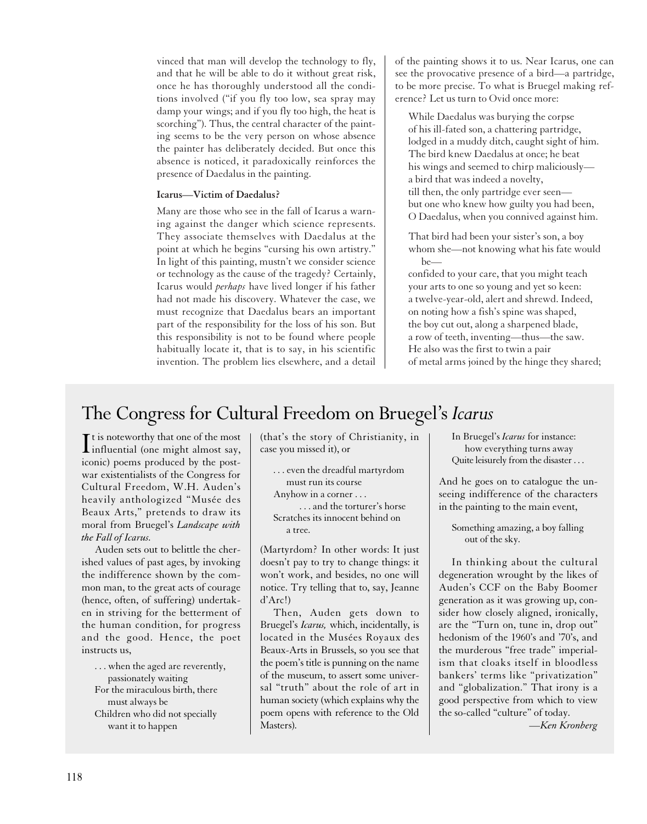vinced that man will develop the technology to fly, and that he will be able to do it without great risk, once he has thoroughly understood all the conditions involved ("if you fly too low, sea spray may damp your wings; and if you fly too high, the heat is scorching"). Thus, the central character of the painting seems to be the very person on whose absence the painter has deliberately decided. But once this absence is noticed, it paradoxically reinforces the presence of Daedalus in the painting.

#### **Icarus—Victim of Daedalus?**

Many are those who see in the fall of Icarus a warning against the danger which science represents. They associate themselves with Daedalus at the point at which he begins "cursing his own artistry." In light of this painting, mustn't we consider science or technology as the cause of the tragedy? Certainly, Icarus would *perhaps* have lived longer if his father had not made his discovery. Whatever the case, we must recognize that Daedalus bears an important part of the responsibility for the loss of his son. But this responsibility is not to be found where people habitually locate it, that is to say, in his scientific invention. The problem lies elsewhere, and a detail of the painting shows it to us. Near Icarus, one can see the provocative presence of a bird—a partridge, to be more precise. To what is Bruegel making reference? Let us turn to Ovid once more:

While Daedalus was burying the corpse of his ill-fated son, a chattering partridge, lodged in a muddy ditch, caught sight of him. The bird knew Daedalus at once; he beat his wings and seemed to chirp maliciously a bird that was indeed a novelty, till then, the only partridge ever seen but one who knew how guilty you had been, O Daedalus, when you connived against him.

That bird had been your sister's son, a boy whom she—not knowing what his fate would be—

confided to your care, that you might teach your arts to one so young and yet so keen: a twelve-year-old, alert and shrewd. Indeed, on noting how a fish's spine was shaped, the boy cut out, along a sharpened blade, a row of teeth, inventing—thus—the saw. He also was the first to twin a pair of metal arms joined by the hinge they shared;

## The Congress for Cultural Freedom on Bruegel's *Icarus*

It is noteworthy that one of the most<br>influential (one might almost say,  $\mathbf{T}$  t is noteworthy that one of the most iconic) poems produced by the postwar existentialists of the Congress for Cultural Freedom, W.H. Auden's heavily anthologized "Musée des Beaux Arts," pretends to draw its moral from Bruegel's *Landscape with the Fall of Icarus.*

Auden sets out to belittle the cherished values of past ages, by invoking the indifference shown by the common man, to the great acts of courage (hence, often, of suffering) undertaken in striving for the betterment of the human condition, for progress and the good. Hence, the poet instructs us,

. . . when the aged are reverently, passionately waiting For the miraculous birth, there must always be Children who did not specially want it to happen

(that's the story of Christianity, in case you missed it), or

. . . even the dreadful martyrdom must run its course Anyhow in a corner . . .

. . . and the torturer's horse Scratches its innocent behind on

a tree.

(Martyrdom? In other words: It just doesn't pay to try to change things: it won't work, and besides, no one will notice. Try telling that to, say, Jeanne d'Arc!)

Then, Auden gets down to Bruegel's *Icarus,* which, incidentally, is located in the Musées Royaux des Beaux-Arts in Brussels, so you see that the poem's title is punning on the name of the museum, to assert some universal "truth" about the role of art in human society (which explains why the poem opens with reference to the Old Masters).

In Bruegel's *Icarus* for instance: how everything turns away Quite leisurely from the disaster ...

And he goes on to catalogue the unseeing indifference of the characters in the painting to the main event,

Something amazing, a boy falling out of the sky.

In thinking about the cultural degeneration wrought by the likes of Auden's CCF on the Baby Boomer generation as it was growing up, consider how closely aligned, ironically, are the "Turn on, tune in, drop out" hedonism of the 1960's and '70's, and the murderous "free trade" imperialism that cloaks itself in bloodless bankers' terms like "privatization" and "globalization." That irony is a good perspective from which to view the so-called "culture" of today.

*—Ken Kronberg*